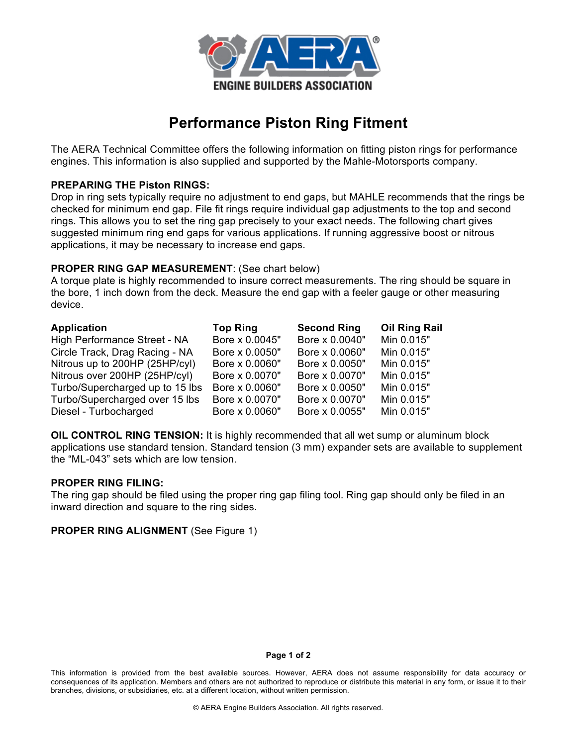

# **Performance Piston Ring Fitment**

The AERA Technical Committee offers the following information on fitting piston rings for performance engines. This information is also supplied and supported by the Mahle-Motorsports company.

## **PREPARING THE Piston RINGS:**

Drop in ring sets typically require no adjustment to end gaps, but MAHLE recommends that the rings be checked for minimum end gap. File fit rings require individual gap adjustments to the top and second rings. This allows you to set the ring gap precisely to your exact needs. The following chart gives suggested minimum ring end gaps for various applications. If running aggressive boost or nitrous applications, it may be necessary to increase end gaps.

## **PROPER RING GAP MEASUREMENT**: (See chart below)

A torque plate is highly recommended to insure correct measurements. The ring should be square in the bore, 1 inch down from the deck. Measure the end gap with a feeler gauge or other measuring device.

| <b>Application</b>              | <b>Top Ring</b> | <b>Second Ring</b> | <b>Oil Ring Rail</b> |
|---------------------------------|-----------------|--------------------|----------------------|
| High Performance Street - NA    | Bore x 0.0045"  | Bore x 0.0040"     | Min 0.015"           |
| Circle Track, Drag Racing - NA  | Bore x 0.0050"  | Bore x 0.0060"     | Min 0.015"           |
| Nitrous up to 200HP (25HP/cyl)  | Bore x 0.0060"  | Bore x 0.0050"     | Min 0.015"           |
| Nitrous over 200HP (25HP/cyl)   | Bore x 0.0070"  | Bore x 0.0070"     | Min 0.015"           |
| Turbo/Supercharged up to 15 lbs | Bore x 0.0060"  | Bore x 0.0050"     | Min 0.015"           |
| Turbo/Supercharged over 15 lbs  | Bore x 0.0070"  | Bore x 0.0070"     | Min 0.015"           |
| Diesel - Turbocharged           | Bore x 0.0060"  | Bore x 0.0055"     | Min 0.015"           |

**OIL CONTROL RING TENSION:** It is highly recommended that all wet sump or aluminum block applications use standard tension. Standard tension (3 mm) expander sets are available to supplement the "ML-043" sets which are low tension.

## **PROPER RING FILING:**

The ring gap should be filed using the proper ring gap filing tool. Ring gap should only be filed in an inward direction and square to the ring sides.

## **PROPER RING ALIGNMENT** (See Figure 1)

#### **Page 1 of 2**

This information is provided from the best available sources. However, AERA does not assume responsibility for data accuracy or consequences of its application. Members and others are not authorized to reproduce or distribute this material in any form, or issue it to their branches, divisions, or subsidiaries, etc. at a different location, without written permission.